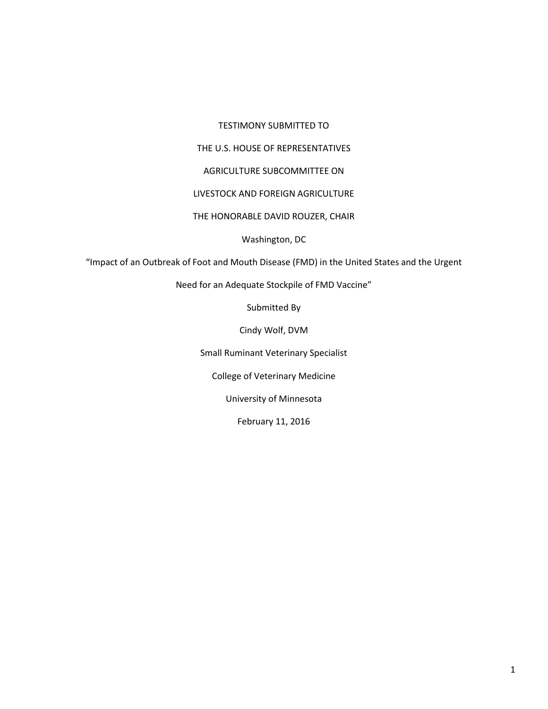#### TESTIMONY SUBMITTED TO

# THE U.S. HOUSE OF REPRESENTATIVES

### AGRICULTURE SUBCOMMITTEE ON

## LIVESTOCK AND FOREIGN AGRICULTURE

### THE HONORABLE DAVID ROUZER, CHAIR

## Washington, DC

"Impact of an Outbreak of Foot and Mouth Disease (FMD) in the United States and the Urgent

Need for an Adequate Stockpile of FMD Vaccine"

Submitted By

Cindy Wolf, DVM

Small Ruminant Veterinary Specialist

College of Veterinary Medicine

University of Minnesota

February 11, 2016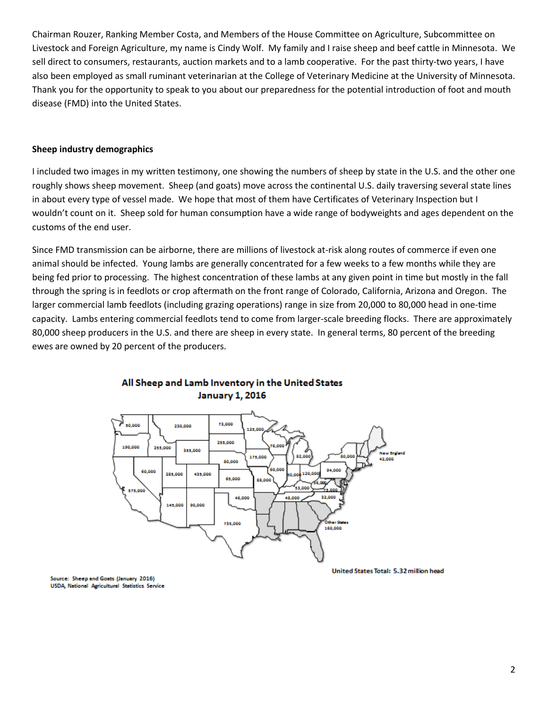Chairman Rouzer, Ranking Member Costa, and Members of the House Committee on Agriculture, Subcommittee on Livestock and Foreign Agriculture, my name is Cindy Wolf. My family and I raise sheep and beef cattle in Minnesota. We sell direct to consumers, restaurants, auction markets and to a lamb cooperative. For the past thirty-two years, I have also been employed as small ruminant veterinarian at the College of Veterinary Medicine at the University of Minnesota. Thank you for the opportunity to speak to you about our preparedness for the potential introduction of foot and mouth disease (FMD) into the United States.

## **Sheep industry demographics**

I included two images in my written testimony, one showing the numbers of sheep by state in the U.S. and the other one roughly shows sheep movement. Sheep (and goats) move across the continental U.S. daily traversing several state lines in about every type of vessel made. We hope that most of them have Certificates of Veterinary Inspection but I wouldn't count on it. Sheep sold for human consumption have a wide range of bodyweights and ages dependent on the customs of the end user.

Since FMD transmission can be airborne, there are millions of livestock at-risk along routes of commerce if even one animal should be infected. Young lambs are generally concentrated for a few weeks to a few months while they are being fed prior to processing. The highest concentration of these lambs at any given point in time but mostly in the fall through the spring is in feedlots or crop aftermath on the front range of Colorado, California, Arizona and Oregon. The larger commercial lamb feedlots (including grazing operations) range in size from 20,000 to 80,000 head in one-time capacity. Lambs entering commercial feedlots tend to come from larger-scale breeding flocks. There are approximately 80,000 sheep producers in the U.S. and there are sheep in every state. In general terms, 80 percent of the breeding ewes are owned by 20 percent of the producers.



## All Sheep and Lamb Inventory in the United States **January 1, 2016**

United States Total: 5.32 million head

Source: Sheep and Goats (January 2016) USDA, National Agricultural Statistics Service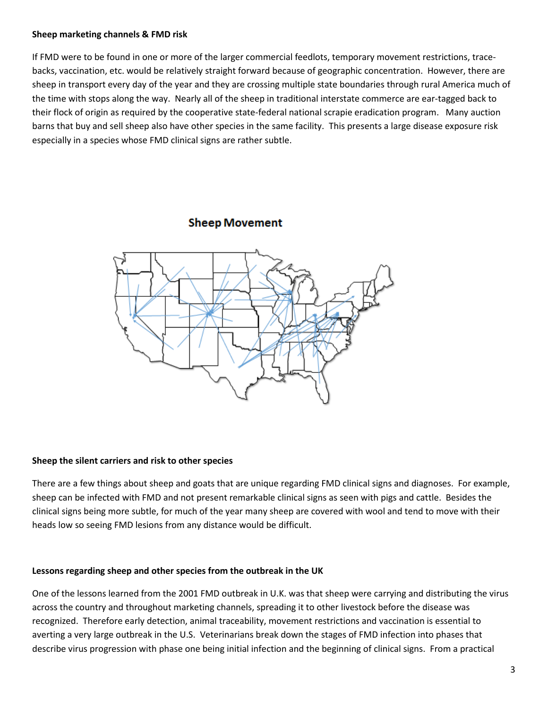## **Sheep marketing channels & FMD risk**

If FMD were to be found in one or more of the larger commercial feedlots, temporary movement restrictions, tracebacks, vaccination, etc. would be relatively straight forward because of geographic concentration. However, there are sheep in transport every day of the year and they are crossing multiple state boundaries through rural America much of the time with stops along the way. Nearly all of the sheep in traditional interstate commerce are ear-tagged back to their flock of origin as required by the cooperative state-federal national scrapie eradication program. Many auction barns that buy and sell sheep also have other species in the same facility. This presents a large disease exposure risk especially in a species whose FMD clinical signs are rather subtle.

# **Sheep Movement**



#### **Sheep the silent carriers and risk to other species**

There are a few things about sheep and goats that are unique regarding FMD clinical signs and diagnoses. For example, sheep can be infected with FMD and not present remarkable clinical signs as seen with pigs and cattle. Besides the clinical signs being more subtle, for much of the year many sheep are covered with wool and tend to move with their heads low so seeing FMD lesions from any distance would be difficult.

#### **Lessons regarding sheep and other species from the outbreak in the UK**

One of the lessons learned from the 2001 FMD outbreak in U.K. was that sheep were carrying and distributing the virus across the country and throughout marketing channels, spreading it to other livestock before the disease was recognized. Therefore early detection, animal traceability, movement restrictions and vaccination is essential to averting a very large outbreak in the U.S. Veterinarians break down the stages of FMD infection into phases that describe virus progression with phase one being initial infection and the beginning of clinical signs. From a practical